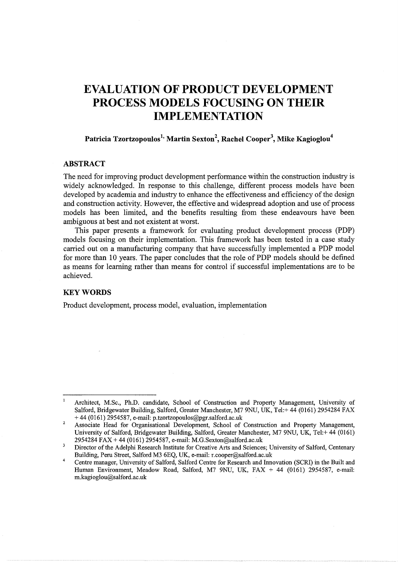# **EVALUATION OF PRODUCT DEVELOPMENT PROCESS MODELS FOCUSING ON THEIR IMPLEMENTATION**

## **Patricia Tzortzopoulos<sup>1</sup> ' Martin Sexton<sup>2</sup> , Rachel Cooper\ Mike Kagioglou<sup>4</sup>**

## **ABSTRACT**

The need for improving product development performance within the construction industry is widely acknowledged. In response to this challenge, different process models have been developed by academia and industry to enhance the effectiveness and efficiency of the design and construction activity. However, the effective and widespread adoption and use of process models has been limited, and the benefits resulting from these endeavours have been ambiguous at best and not existent at worst.

This paper presents a framework for evaluating product development process (PDP) models focusing on their implementation. This framework has been tested in a case study carried out on a manufacturing company that have successfully implemented a PDP model for more than 10 years. The paper concludes that the role of PDP models should be defined as means for learning rather than means for control if successful implementations are to be achieved.

## **KEYWORDS**

Product development, process model, evaluation, implementation

 $\mathbf{I}$ Architect, M.Sc., Ph.D. candidate, School of Construction and Property Management, University of Salford, Bridgewater Building, Salford, Greater Manchester, M7 9NU, UK, Tel:+ 44 (0161) 2954284 FAX  $+ 44$  (0161) 2954587, e-mail: p.tzortzopoulos@pgr.salford.ac.uk

 $\overline{2}$ Associate Head for Organisational Development, School of Construction and Property Management, University of Salford, Bridgewater Building, Salford, Greater Manchester, M7 9NU, UK, Tel:+ 44 (0161) 2954284 FAX+ 44 (0161) 2954587, e-mail: M.G.Sexton@salford.ac.uk

 $\overline{\mathbf{3}}$ Director of the Adelphi Research Institute for Creative Arts and Sciences; University of Salford, Centenary Building, Peru Street, Salford M3 6EQ, UK, e-mail: r.cooper@salford.ac.uk

<sup>4</sup>  Centre manager, University of Salford, Salford Centre for Research and Innovation (SCRI) in the Built and Human Environment, Meadow Road, Salford, M7 9NU, UK, FAX + 44 (0161) 2954587, e-mail: m.kagioglou@salford.ac.uk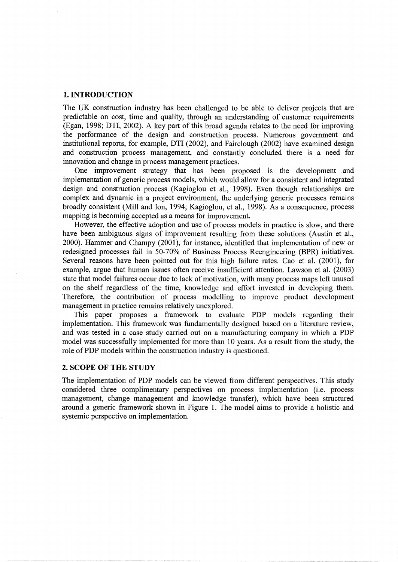## **1. INTRODUCTION**

The UK construction industry has been challenged to be able to deliver projects that are predictable on cost, time and quality, through an understanding of customer requirements (Egan, 1998; DTI, 2002). A key part of this broad agenda relates to the need for improving the performance of the design and construction process. Numerous government and institutional reports, for example, DTI (2002), and Fairclough (2002) have examined design and construction process management, and constantly concluded there is a need for innovation and change in process management practices.

One improvement strategy that has been proposed is the development and implementation of generic process models, which would allow for a consistent and integrated design and construction process (Kagioglou et al., 1998). Even though relationships are complex and dynamic in a project environment, the underlying generic processes remains broadly consistent (Mill and Ion, 1994; Kagioglou, et al., 1998). As a consequence, process mapping is becoming accepted as a means for improvement.

However, the effective adoption and use of process models in practice is slow, and there have been ambiguous signs of improvement resulting from these solutions (Austin et al., 2000). Hammer and Champy (2001), for instance, identified that implementation of new or redesigned processes fail in 50-70% of Business Process Reengineering (BPR) initiatives. Several reasons have been pointed out for this high failure rates. Cao et al. (2001), for example, argue that human issues often receive insufficient attention. Lawson et al. (2003) state that model failures occur due to lack of motivation, with many process maps left unused on the shelf regardless of the time, knowledge and effort invested in developing them. Therefore, the contribution of process modelling to improve product development management in practice remains relatively unexplored.

This paper proposes a framework to evaluate PDP models regarding their implementation. This framework was fundamentally designed based on a literature review, and was tested in a case study carried out on a manufacturing company in which a PDP model was successfully implemented for more than 10 years. As a result from the study, the role of PDP models within the construction industry is questioned.

#### **2. SCOPE OF THE STUDY**

The implementation of PDP models can be viewed from different perspectives. This study considered three complimentary perspectives on process implementation (i.e. process management, change management and knowledge transfer), which have been structured around a generic framework shown in Figure 1. The model aims to provide a holistic and systemic perspective on implementation.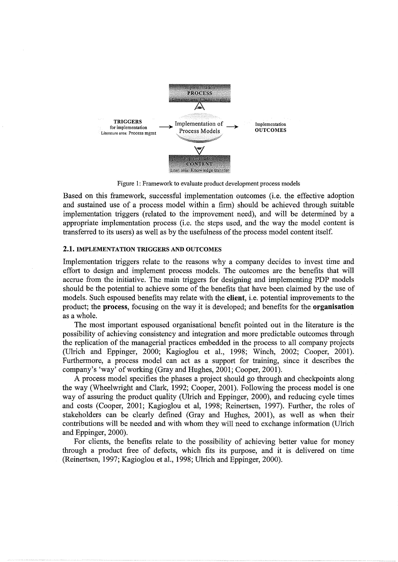

Figure 1: Framework to evaluate product development process models

Based on this framework, successful implementation outcomes (i.e. the effective adoption and sustained use of a process model within a firm) should be achieved through suitable implementation triggers (related to the improvement need), and will be determined by a appropriate implementation process (i.e. the steps used, and the way the model content is transferred to its users) as well as by the usefulness of the process model content itself.

### **2.1.** IMPLEMENTATION TRIGGERS AND OUTCOMES

Implementation triggers relate to the reasons why a company decides to invest time and effort to design and implement process models. The outcomes are the benefits that will accrue from the initiative. The main triggers for designing and implementing PDP models should be the potential to achieve some of the benefits that have been claimed by the use of models. Such espoused benefits may relate with the **client,** i.e. potential improvements to the product; the **process,** focusing on the way it is developed; and benefits for the **organisation**  as a whole.

The most important espoused organisational benefit pointed out in the literature is the possibility of achieving consistency and integration and more predictable outcomes through the replication of the managerial practices embedded in the process to all company projects (Ulrich and Eppinger, 2000; Kagioglou et al., 1998; Winch, 2002; Cooper, 2001). Furthermore, a process model can act as a support for training, since it describes the company's 'way' of working (Gray and Hughes, 2001; Cooper, 2001).

A process model specifies the phases a project should go through and checkpoints along the way (Wheelwright and Clark, 1992; Cooper, 2001). Following the process model is one way of assuring the product quality (Ulrich and Eppinger, 2000), and reducing cycle times and costs (Cooper, 2001; Kagioglou et al, 1998; Reinertsen, 1997). Further, the roles of stakeholders can be clearly defined (Gray and Hughes, 2001), as well as when their contributions will be needed and with whom they will need to exchange information (Ulrich and Eppinger, 2000).

For clients, the benefits relate to the possibility of achieving better value for money through a product free of defects, which fits its purpose, and it is delivered on time (Reinertsen, 1997; Kagioglou et al., 1998; Ulrich and Eppinger, 2000).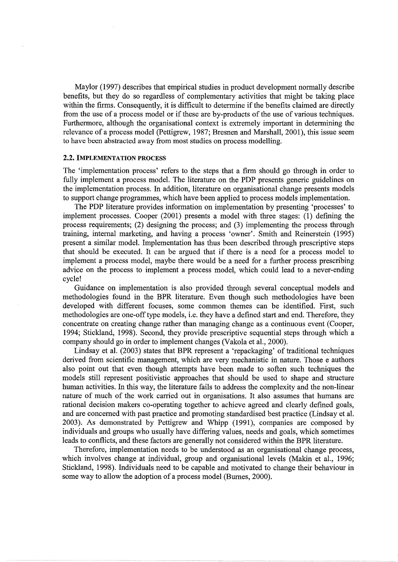Maylor (1997) describes that empirical studies in product development normally describe benefits, but they do so regardless of complementary activities that might be taking place within the firms. Consequently, it is difficult to determine if the benefits claimed are directly from the use of a process model or if these are by-products of the use of various techniques. Furthermore, although the organisational context is extremely important in determining the relevance of a process model (Pettigrew, 1987; Bresnen and Marshall, 2001), this issue seem to have been abstracted away from most studies on process modelling.

#### 2.2. IMPLEMENTATION PROCESS

The 'implementation process' refers to the steps that a firm should go through in order to fully implement a process model. The literature on the PDP presents generic guidelines on the implementation process. In addition, literature on organisational change presents models to support change programmes, which have been applied to process models implementation.

The PDP literature provides information on implementation by presenting 'processes' to implement processes. Cooper (2001) presents a model with three stages: (I) defining the process requirements; (2) designing the process; and (3) implementing the process through training, internal marketing, and having a process 'owner'. Smith and Reinerstein ( 1995) present a similar model. Implementation has thus been described through prescriptive steps that should be executed. It can be argued that if there is a need for a process model to implement a process model, maybe there would be a need for a further process prescribing advice on the process to implement a process model, which could lead to a never-ending cycle!

Guidance on implementation is also provided through several conceptual models and methodologies found in the BPR literature. Even though such methodologies have been developed with different focuses, some common themes can be identified. First, such methodologies are one-off type models, i.e. they have a defined start and end. Therefore, they concentrate on creating change rather than managing change as a continuous event (Cooper, 1994; Stickland, 1998). Second, they provide prescriptive sequential steps through which a company should go in order to implement changes (Vakola et al., 2000).

Lindsay et al. (2003) states that BPR represent a 'repackaging' of traditional techniques derived from scientific management, which are very mechanistic in nature. Those e authors also point out that even though attempts have been made to soften such techniques the models still represent positivistic approaches that should be used to shape and structure human activities. In this way, the literature fails to address the complexity and the non-linear nature of much of the work carried out in organisations. It also assumes that humans are rational decision makers co-operating together to achieve agreed and clearly defined goals, and are concerned with past practice and promoting standardised best practice (Lindsay et al. 2003). As demonstrated by Pettigrew and Whipp (1991), companies are composed by individuals and groups who usually have differing values, needs and goals, which sometimes leads to conflicts, and these factors are generally not considered within the BPR literature.

Therefore, implementation needs to be understood as an organisational change process, which involves change at individual, group and organisational levels (Makin et al., 1996; Stickland, 1998). Individuals need to be capable and motivated to change their behaviour in some way to allow the adoption of a process model (Burnes, 2000).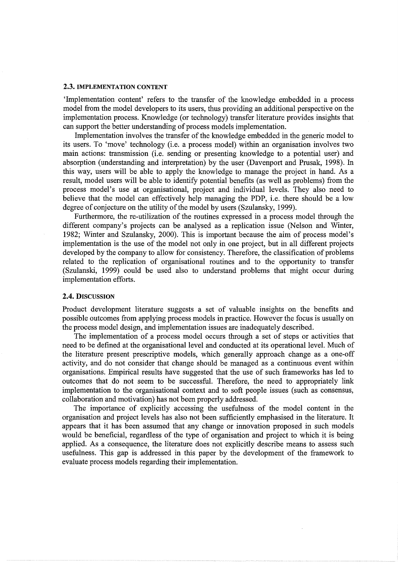#### 2.3. IMPLEMENTATION CONTENT

'Implementation content' refers to the transfer of the knowledge embedded in a process model from the model developers to its users, thus providing an additional perspective on the implementation process. Knowledge (or technology) transfer literature provides insights that can support the better understanding of process models implementation.

Implementation involves the transfer of the knowledge embedded in the generic model to its users. To 'move' technology (i.e. a process model) within an organisation involves two main actions: transmission (i.e. sending or presenting knowledge to a potential user) and absorption (understanding and interpretation) by the user (Davenport and Prusak, 1998). In this way, users will be able to apply the knowledge to manage the project in hand. As a result, model users will be able to identify potential benefits (as well as problems) from the process model's use at organisational, project and individual levels. They also need to believe that the model can effectively help managing the PDP, i.e. there should be a low degree of conjecture on the utility of the model by users (Szulansky, 1999).

Furthermore, the re-utilization of the routines expressed in a process model through the different company's projects can be analysed as a replication issue (Nelson and Winter, 1982; Winter and Szulansky, 2000). This is important because the aim of process model's implementation is the use of the model not only in one project, but in all different projects developed by the company to allow for consistency. Therefore, the classification of problems related to the replication of organisational routines and to the opportunity to transfer (Szulanski, 1999) could be used also to understand problems that might occur during implementation efforts.

#### 2.4. DISCUSSION

Product development literature suggests a set of valuable insights on the benefits and possible outcomes from applying process models in practice. However the focus is usually on the process model design, and implementation issues are inadequately described.

The implementation of a process model occurs through a set of steps or activities that need to be defined at the organisational level and conducted at its operational level. Much of the literature present prescriptive models, which generally approach change as a one-off activity, and do not consider that change should be managed as a continuous event within organisations. Empirical results have suggested that the use of such frameworks has led to outcomes that do not seem to be successful. Therefore, the need to appropriately link implementation to the organisational context and to soft people issues (such as consensus, collaboration and motivation) has not been properly addressed.

The importance of explicitly accessing the usefulness of the model content in the organisation and project levels has also not been sufficiently emphasised in the literature. It appears that it has been assumed that any change or innovation proposed in such models would be beneficial, regardless of the type of organisation and project to which it is being applied. As a consequence, the literature does not explicitly describe means to assess such usefulness. This gap is addressed in this paper by the development of the framework to evaluate process models regarding their implementation.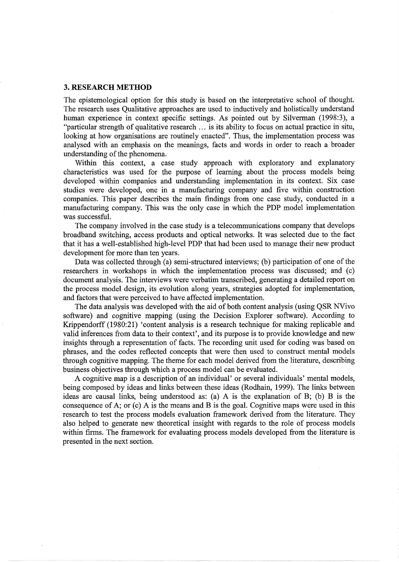#### **3. RESEARCH METHOD**

The epistemological option for this study is based on the interpretative school of thought. The research uses Qualitative approaches are used to inductively and holistically understand human experience in context specific settings. As pointed out by Silverman (1998:3), a "particular strength of qualitative research ... is its ability to focus on actual practice in situ, looking at how organisations are routinely enacted". Thus, the implementation process was analysed with an emphasis on the meanings, facts and words in order to reach a broader understanding of the phenomena.

Within this context, a case study approach with exploratory and explanatory characteristics was used for the purpose of learning about the process models being developed within companies and understanding implementation in its context. Six case studies were developed, one in a manufacturing company and five within construction companies. This paper describes the main findings from one case study, conducted in a manufacturing company. This was the only case in which the PDP model implementation was successful.

The company involved in the case study is a telecommunications company that develops broadband switching, access products and optical networks. It was selected due to the fact that it has a well-established high-level PDP that had been used to manage their new product development for more than ten years.

Data was collected through (a) semi-structured interviews; (b) participation of one of the researchers in workshops in which the implementation process was discussed; and (c) document analysis. The interviews were verbatim transcribed, generating a detailed report on the process model design, its evolution along years, strategies adopted for implementation, and factors that were perceived to have affected implementation.

The data analysis was developed with the aid of both content analysis (using QSR NVivo software) and cognitive mapping (using the Decision Explorer software). According to Krippendorff (1980:21) 'content analysis is a research technique for making replicable and valid inferences from data to their context', and its purpose is to provide knowledge and new insights through a representation of facts. The recording unit used for coding was based on phrases, and the codes reflected concepts that were then used to construct mental models through cognitive mapping. The theme for each model derived from the literature, describing business objectives through which a process model can be evaluated.

A cognitive map is a description of an individual' or several individuals' mental models, being composed by ideas and links between these ideas (Rodhain, 1999). The links between ideas are causal links, being understood as: (a) A is the explanation of B; (b) B is the consequence of A; or (c) A is the means and B is the goal. Cognitive maps were used in this research to test the process models evaluation framework derived from the literature. They also helped to generate new theoretical insight with regards to the role of process models within firms. The framework for evaluating process models developed from the literature is presented in the next section.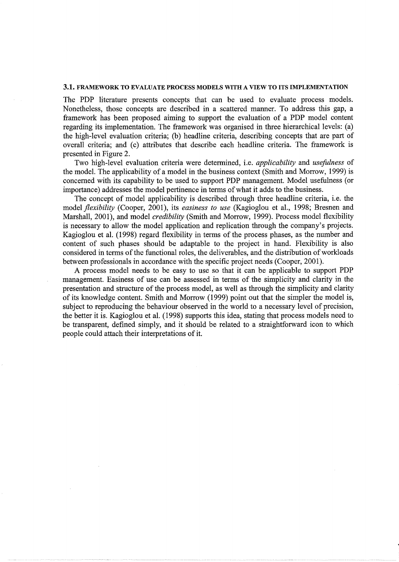#### 3.1. FRAMEWORK TO EVALUATE PROCESS MODELS WITH A VIEW TO ITS IMPLEMENTATION

The PDP literature presents concepts that can be used to evaluate process models. Nonetheless, those concepts are described in a scattered manner. To address this gap, a framework has been proposed aiming to support the evaluation of a PDP model content regarding its implementation. The framework was organised in three hierarchical levels: (a) the high-level evaluation criteria; (b) headline criteria, describing concepts that are part of overall criteria; and (c) attributes that describe each headline criteria. The framework is presented in Figure 2.

Two high-level evaluation criteria were determined, i.e. *applicability* and *usefulness* of the model. The applicability of a model in the business context (Smith and Morrow, 1999) is concerned with its capability to be used to support PDP management. Model usefulness (or importance) addresses the model pertinence in terms of what it adds to the business.

The concept of model applicability is described through three headline criteria, i.e. the model *flexibility* (Cooper, 2001), its *easiness to use* (Kagioglou et al., 1998; Bresnen and Marshall, 2001), and model *credibility* (Smith and Morrow, 1999). Process model flexibility is necessary to allow the model application and replication through the company's projects. Kagioglou et al. (1998) regard flexibility in terms of the process phases, as the number and content of such phases should be adaptable to the project in hand. Flexibility is also considered in terms of the functional roles, the deliverables, and the distribution of workloads between professionals in accordance with the specific project needs (Cooper, 2001).

A process model needs to be easy to use so that it can be applicable to support PDP management. Easiness of use can be assessed in terms of the simplicity and clarity in the presentation and structure of the process model, as well as through the simplicity and clarity of its knowledge content. Smith and Morrow (1999) point out that the simpler the model is, subject to reproducing the behaviour observed in the world to a necessary level of precision, the better it is. Kagioglou et al. (1998) supports this idea, stating that process models need to be transparent, defined simply, and it should be related to a straightforward icon to which people could attach their interpretations of it.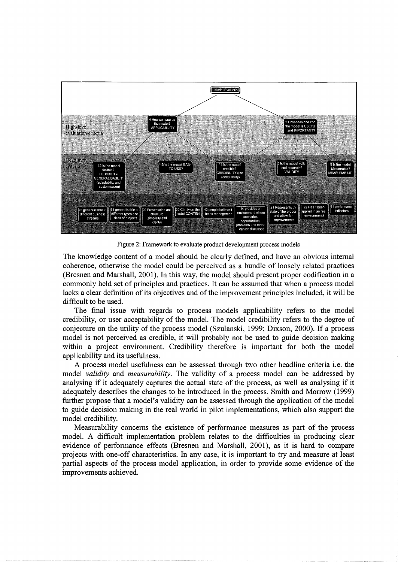

Figure 2: Framework to evaluate product development process models

The knowledge content of a model should be clearly defined, and have an obvious internal coherence, otherwise the model could be perceived as a bundle of loosely related practices (Bresnen and Marshall, 2001). In this way, the model should present proper codification in a commonly held set of principles and practices. It can be assumed that when a process model lacks a clear definition of its objectives and of the improvement principles included, it will be difficult to be used.

The final issue with regards to process models applicability refers to the model credibility, or user acceptability of the model. The model credibility refers to the degree of conjecture on the utility of the process model (Szulanski, 1999; Dixson, 2000). If a process model is not perceived as credible, it will probably not be used to guide decision making within a project environment. Credibility therefore is important for both the model applicability and its usefulness.

A process model usefulness can be assessed through two other headline criteria i.e. the model *validity* and *measurability.* The validity of a process model can be addressed by analysing if it adequately captures the actual state of the process, as well as analysing if it adequately describes the changes to be introduced in the process. Smith and Morrow (1999) further propose that a model's validity can be assessed through the application of the model to guide decision making in the real world in pilot implementations, which also support the model credibility.

Measurability concerns the existence of performance measures as part of the process model. A difficult implementation problem relates to the difficulties in producing clear evidence of performance effects (Bresnen and Marshall, 2001), as it is hard to compare projects with one-off characteristics. In any case, it is important to try and measure at least partial aspects of the process model application, in order to provide some evidence of the improvements achieved.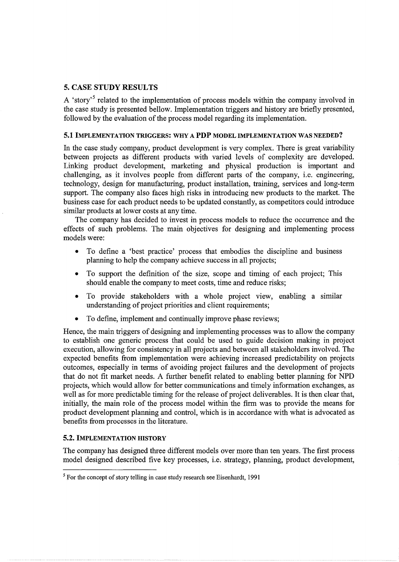## 5. CASE STUDY RESULTS

A 'story'<sup>5</sup> related to the implementation of process models within the company involved in the case study is presented bellow. Implementation triggers and history are briefly presented, followed by the evaluation of the process model regarding its implementation.

## 5.1 IMPLEMENTATION TRIGGERS: WHY A **PDP** MODEL IMPLEMENTATION WAS NEEDED?

In the case study company, product development is very complex. There is great variability between projects as different products with varied levels of complexity are developed. Linking product development, marketing and physical production is important and challenging, as it involves people from different parts of the company, i.e. engineering, technology, design for manufacturing, product installation, training, services and long-term support. The company also faces high risks in introducing new products to the market. The business case for each product needs to be updated constantly, as competitors could introduce similar products at lower costs at any time.

The company has decided to invest in process models to reduce the occurrence and the effects of such problems. The main objectives for designing and implementing process models were:

- To define a 'best practice' process that embodies the discipline and business planning to help the company achieve success in all projects;
- To support the definition of the size, scope and timing of each project; This should enable the company to meet costs, time and reduce risks;
- To provide stakeholders with a whole project view, enabling a similar understanding of project priorities and client requirements;
- To define, implement and continually improve phase reviews;

Hence, the main triggers of designing and implementing processes was to allow the company to establish one generic process that could be used to guide decision making in project execution, allowing for consistency in all projects and between all stakeholders involved. The expected benefits from implementation were achieving increased predictability on projects outcomes, especially in terms of avoiding project failures and the development of projects that do not fit market needs. A further benefit related to enabling better planning for NPD projects, which would allow for better communications and timely information exchanges, as well as for more predictable timing for the release of project deliverables. It is then clear that, initially, the main role of the process model within the firm was to provide the means for product development planning and control, which is in accordance with what is advocated as benefits from processes in the literature.

## 5.2. IMPLEMENTATION HISTORY

The company has designed three different models over more than ten years. The first process model designed described five key processes, i.e. strategy, planning, product development,

<sup>&</sup>lt;sup>5</sup> For the concept of story telling in case study research see Eisenhardt, 1991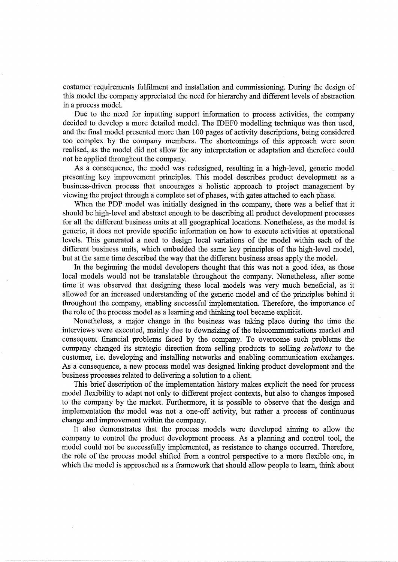costumer requirements fulfilment and installation and commissioning. During the design of this model the company appreciated the need for hierarchy and different levels of abstraction in a process model.

Due to the need for inputting support information to process activities, the company decided to develop a more detailed model. The IDEFO modelling technique was then used, and the final model presented more than 100 pages of activity descriptions, being considered too complex by the company members. The shortcomings of this approach were soon realised, as the model did not allow for any interpretation or adaptation and therefore could not be applied throughout the company.

As a consequence, the model was redesigned, resulting in a high-level, generic model presenting key improvement principles. This model describes product development as a business-driven process that encourages a holistic approach to project management by viewing the project through a complete set of phases, with gates attached to each phase.

When the PDP model was initially designed in the company, there was a belief that it should be high-level and abstract enough to be describing all product development processes for all the different business units at all geographical locations. Nonetheless, as the model is generic, it does not provide specific information on how to execute activities at operational levels. This generated a need to design local variations of the model within each of the different business units, which embedded the same key principles of the high-level model, but at the same time described the way that the different business areas apply the model.

In the beginning the model developers thought that this was not a good idea, as those local models would not be translatable throughout the company. Nonetheless, after some time it was observed that designing these local models was very much beneficial, as it allowed for an increased understanding of the generic model and of the principles behind it throughout the company, enabling successful implementation. Therefore, the importance of the role of the process model as a learning and thinking tool became explicit.

Nonetheless, a major change in the business was taking place during the time the interviews were executed, mainly due to downsizing of the telecommunications market and consequent financial problems faced by the company. To overcome such problems the company changed its strategic direction from selling products to selling *solutions* to the customer, i.e. developing and installing networks and enabling communication exchanges. As a consequence, a new process model was designed linking product development and the business processes related to delivering a solution to a client.

This brief description of the implementation history makes explicit the need for process model flexibility to adapt not only to different project contexts, but also to changes imposed to the company by the market. Furthermore, it is possible to observe that the design and implementation the model was not a one-off activity, but rather a process of continuous change and improvement within the company.

It also demonstrates that the process models were developed aiming to allow the company to control the product development process. As a planning and control tool, the model could not be successfully implemented, as resistance to change occurred. Therefore, the role of the process model shifted from a control perspective to a more flexible one, in which the model is approached as a framework that should allow people to learn, think about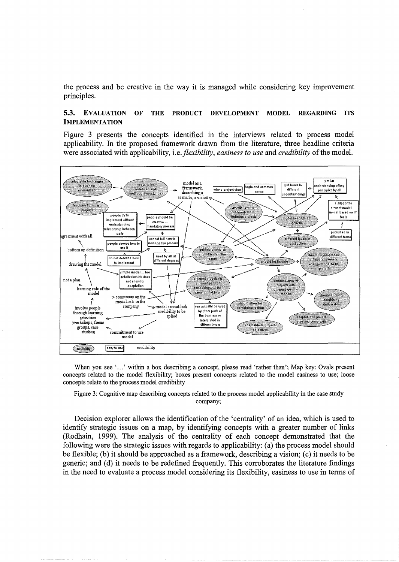the process and be creative in the way it is managed while considering key improvement principles.

## 5.3. EVALUATION OF THE PRODUCT DEVELOPMENT MODEL REGARDING ITS IMPLEMENTATION

Figure 3 presents the concepts identified in the interviews related to process model applicability. In the proposed framework drawn from the literature, three headline criteria were associated with applicability, i.e. *flexibility, easiness to use* and *credibility* of the model.



When you see '...' within a box describing a concept, please read 'rather than'; Map key: Ovals present concepts related to the model flexibility; boxes present concepts related to the model easiness to use; loose concepts relate to the process model credibility

Figure 3: Cognitive map describing concepts related to the process model applicability in the case study company;

Decision explorer allows the identification of the 'centrality' of an idea, which is used to identify strategic issues on a map, by identifying concepts with a greater number of links (Rodhain, 1999). The analysis of the centrality of each concept demonstrated that the following were the strategic issues with regards to applicability: (a) the process model should be flexible; (b) it should be approached as a framework, describing a vision; (c) it needs to be generic; and (d) it needs to be redefined frequently. This corroborates the literature findings in the need to evaluate a process model considering its flexibility, easiness to use in terms of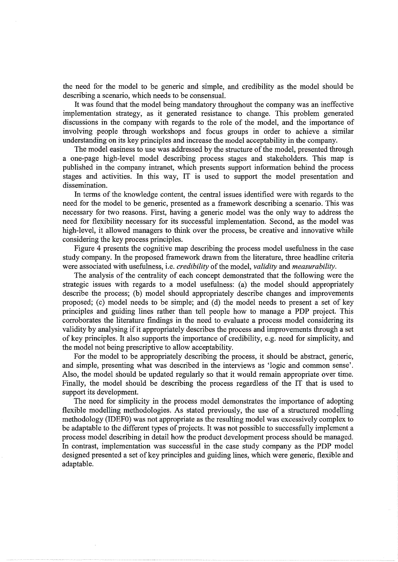the need for the model to be generic and simple, and credibility as the model should be describing a scenario, which needs to be consensual.

It was found that the model being mandatory throughout the company was an ineffective implementation strategy, as it generated resistance to change. This problem generated discussions in the company with regards to the role of the model, and the importance of involving .people through workshops and focus groups in order to achieve a similar understanding on its key principles and increase the model acceptability in the company.

The model easiness to use was addressed by the structure of the model, presented through a one-page high-level model describing process stages and stakeholders. This map is published in the company intranet, which presents support information behind the process stages and activities. In this way, IT is used to support the model presentation and dissemination.

In terms of the knowledge content, the central issues identified were with regards to the need for the model to be generic, presented as a framework describing a scenario. This was necessary for two reasons. First, having a generic model was the only way to address the need for flexibility necessary for its successful implementation. Second, as the model was high-level, it allowed managers to think over the process, be creative and innovative while considering the key process principles.

Figure 4 presents the cognitive map describing the process model usefulness in the case study company. In the proposed framework drawn from the literature, three headline criteria were associated with usefulness, i.e. *credibility* of the model, *validity* and *measurability.* 

The analysis of the centrality of each concept demonstrated that the following were the strategic issues with regards to a model usefulness: (a) the model should appropriately describe the process; (b) model should appropriately describe changes and improvements proposed; (c) model needs to be simple; and (d) the model needs to present a set of key principles and guiding lines rather than tell people how to manage a PDP project. This corroborates the literature findings in the need to evaluate a process model considering its validity by analysing if it appropriately describes the process and improvements through a set of key principles. It also supports the importance of credibility, e.g. need for simplicity, and the model not being prescriptive to allow acceptability.

For the model to be appropriately describing the process, it should be abstract, generic, and simple, presenting what was described in the interviews as 'logic and common sense'. Also, the model should be updated regularly so that it would remain appropriate over time. Finally, the model should be describing the process regardless of the IT that is used to support its development.

The need for simplicity in the process model demonstrates the importance of adopting flexible modelling methodologies. As stated previously, the use of a structured modelling methodology (IDEFO) was not appropriate as the resulting model was excessively complex to be adaptable to the different types of projects. It was not possible to successfully implement a process model describing in detail how the product development process should be managed. In contrast, implementation was successful in the case study company as the PDP model designed presented a set of key principles and guiding lines, which were generic, flexible and adaptable.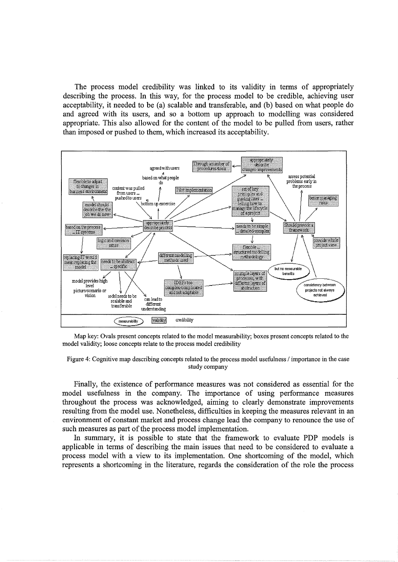The process model credibility was linked to its validity in terms of appropriately describing the process. In this way, for the process model to be credible, achieving user acceptability, it needed to be (a) scalable and transferable, and (b) based on what people do and agreed with its users, and so a bottom up approach to modelling was considered appropriate. This also allowed for the content of the model to be pulled from users, rather than imposed or pushed to them, which increased its acceptability.







Finally, the existence of performance measures was not considered as essential for the model usefulness in the company. The importance of using performance measures throughout the process was acknowledged, aiming to clearly demonstrate improvements resulting from the model use. Nonetheless, difficulties in keeping the measures relevant in an environment of constant market and process change lead the company to renounce the use of such measures as part of the process model implementation.

In summary, it is possible to state that the framework to evaluate PDP models is applicable in terms of describing the main issues that need to be considered to evaluate a process model with a view to its implementation. One shortcoming of the model, which represents a shortcoming in the literature, regards the consideration of the role the process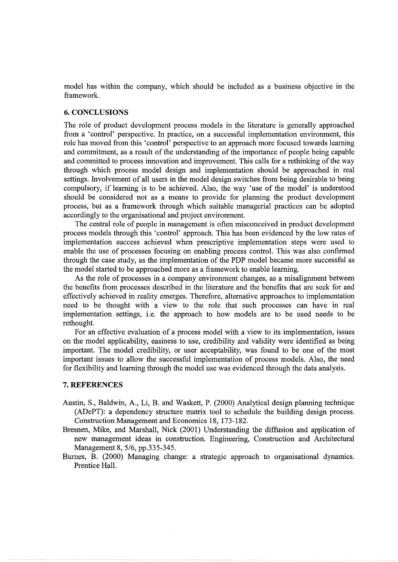model has within the company, which should be included as a business objective in the framework.

## **6. CONCLUSIONS**

The role of product development process models in the literature is generally approached from a 'control' perspective. In practice, on a successful implementation environment, this role has moved from this 'control' perspective to an approach more focused towards learning and commitment, as a result of the understanding of the importance of people being capable and committed to process innovation and improvement. This calls for a rethinking of the way through which process model design and implementation should be approached in real settings. Involvement of all users in the model design switches from being desirable to being compulsory, if learning is to be achieved. Also, the way 'use of the model' is understood should be considered not as a means to provide for planning the product development process, but as a framework through which suitable managerial practices can be adopted accordingly to the organisational and project environment.

The central role of people in management is often misconceived in product development process models through this 'control' approach. This has been evidenced by the low rates of implementation success achieved when prescriptive implementation steps were used to enable the use of processes focusing on enabling process control. This was also confirmed through the case study, as the implementation of the PDP model became more successful as the model started to be approached more as a framework to enable learning.

As the role of processes in a company environment changes, as a misalignment between the benefits from processes described in the literature and the benefits that are seek for and effectively achieved in reality emerges. Therefore, alternative approaches to implementation need to be thought with a view to the role that such processes can have in real implementation settings, i.e. the approach to how models are to be used needs to be rethought.

For an effective evaluation of a process model with a view to its implementation, issues on the model applicability, easiness to use, credibility and validity were identified as being important. The model credibility, or user acceptability, was found to be one of the most important issues to allow the successful implementation of process models. Also, the need for flexibility and learning through the model use was evidenced through the data analysis.

## **7. REFERENCES**

- Austin, S., Baldwin, A., Li, B. and Waskett, P. (2000) Analytical design planning technique (ADePT): a dependency structure matrix tool to schedule the building design process. Construction Management and Economics 18, 173-182.
- Bresnen, Mike, and Marshall, Nick (2001) Understanding the diffusion and application of new management ideas in construction. Engineering, Construction and Architectural Management 8, 5/6, pp.335-345.
- Burnes, B. (2000) Managing change: a strategic approach to organisational dynamics. Prentice Hall.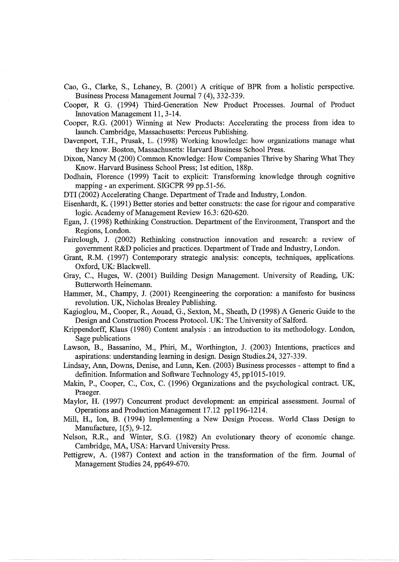- Cao, G., Clarke, S., Lehaney, B. (2001) A critique of BPR from a holistic perspective. Business Process Management Journal 7 (4), 332-339.
- Cooper, R G. (1994) Third-Generation New Product Processes. Journal of Product Innovation Management 11, 3-14.
- Cooper, R.G. (2001) Winning at New Products: Accelerating the process from idea to launch. Cambridge, Massachusetts: Perceus Publishing.
- Davenport, T.H., Prusak, L. (1998) Working knowledge: how organizations manage what they know. Boston, Massachusetts: Harvard Business School Press.
- Dixon, Nancy M (200) Common Knowledge: How Companies Thrive by Sharing What They Know. Harvard Business School Press; 1st edition, 188p.
- Dodhain, Florence (1999) Tacit to explicit: Transforming knowledge through cognitive mapping - an experiment. SIGCPR 99 pp.51-56.
- DTI (2002) Accelerating Change. Department of Trade and Industry, London.
- Eisenhardt, K. (1991) Better stories and better constructs: the case for rigour and comparative logic. Academy of Management Review 16.3: 620-620.
- Egan, J. (1998) Rethinking Construction. Department of the Environment, Transport and the Regions, London.
- Fairclough, J. (2002) Rethinking construction innovation and research: a review of government R&D policies and practices. Department of Trade and Industry, London.
- Grant, R.M. (1997) Contemporary strategic analysis: concepts, techniques, applications. Oxford, UK: Blackwell.
- Gray, C., Huges, W. (2001) Building Design Management. University of Reading, UK: Butterworth Heinemann.
- Hammer, M., Champy, J. (2001) Reengineering the corporation: a manifesto for business revolution. UK, Nicholas Brealey Publishing.
- Kagioglou, M., Cooper, R., Aouad, G., Sexton, M., Sheath, D (1998) A Generic Guide to the Design and Construction Process Protocol. UK: The University of Salford.
- Krippendorff, Klaus (1980) Content analysis : an introduction to its methodology. London, Sage publications
- Lawson, B., Bassanino, M., Phiri, M., Worthington, J. (2003) Intentions, practices and aspirations: understanding learning in design. Design Studies.24, 327-339.
- Lindsay, Ann, Downs, Denise, and Lunn, Ken. (2003) Business processes- attempt to find a definition. Information and Software Technology 45, pp1015-1019.
- Makin, P., Cooper, C., Cox, C. (1996) Organizations and the psychological contract. UK, Praeger.
- Maylor, H. (1997) Concurrent product development: an empirical assessment. Journal of Operations and Production Management 17.12 pp1196-1214.
- Mill, H., Ion, B. (1994) Implementing a New Design Process. World Class Design to Manufacture, 1(5), 9-12.
- Nelson, R.R., and Winter, S.G. (1982) An evolutionary theory of economic change. Cambridge, MA, USA: Harvard University Press.
- Pettigrew, A. (1987) Context and action in the transformation of the firm. Journal of Management Studies 24, pp649-670.